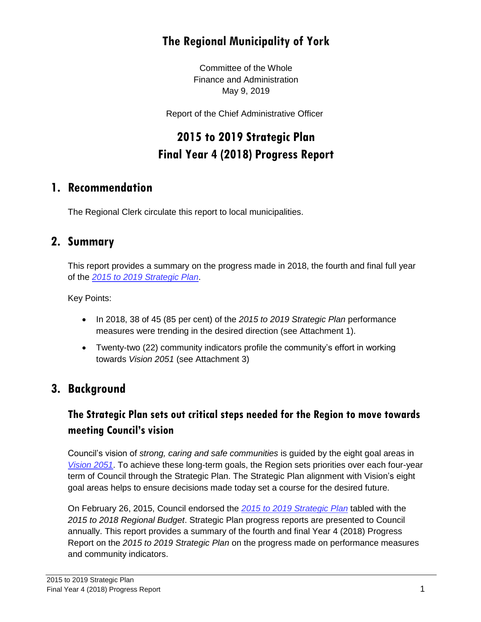# **The Regional Municipality of York**

Committee of the Whole Finance and Administration May 9, 2019

Report of the Chief Administrative Officer

# **2015 to 2019 Strategic Plan Final Year 4 (2018) Progress Report**

### **1. Recommendation**

The Regional Clerk circulate this report to local municipalities.

#### **2. Summary**

This report provides a summary on the progress made in 2018, the fourth and final full year of the *[2015 to 2019 Strategic Plan](http://viewer.zmags.com/publication/f1e192fd#/f1e192fd/1)*.

Key Points:

- In 2018, 38 of 45 (85 per cent) of the *2015 to 2019 Strategic Plan* performance measures were trending in the desired direction (see Attachment 1).
- Twenty-two (22) community indicators profile the community's effort in working towards *Vision 2051* (see Attachment 3)

## **3. Background**

#### **The Strategic Plan sets out critical steps needed for the Region to move towards meeting Council's vision**

Council's vision of *strong, caring and safe communities* is guided by the eight goal areas in *[Vision 2051](http://www.york.ca/wps/portal/yorkhome/yorkregion/yr/plansreportsandstrategies/vision2051/vision2051/!ut/p/a1/jY_LCsIwEEW_pR8gmYY-4jJGNEktdWfNRgLWGqhpaEIXfr1V3LjQOqsZOJczFylUI2X1aFodTG9197xVdhJ0KzgvQFYJYUChohLnBEiRT8BxAuDLUJjLyz8EeChZ2SLldLgujL30qHadtn5oXD#.W6vBMvlKjmE)*. To achieve these long-term goals, the Region sets priorities over each four-year term of Council through the Strategic Plan. The Strategic Plan alignment with Vision's eight goal areas helps to ensure decisions made today set a course for the desired future.

On February 26, 2015, Council endorsed the *[2015 to 2019 Strategic Plan](http://viewer.zmags.com/publication/f1e192fd#/f1e192fd/1)* tabled with the *2015 to 2018 Regional Budget*. Strategic Plan progress reports are presented to Council annually. This report provides a summary of the fourth and final Year 4 (2018) Progress Report on the *2015 to 2019 Strategic Plan* on the progress made on performance measures and community indicators.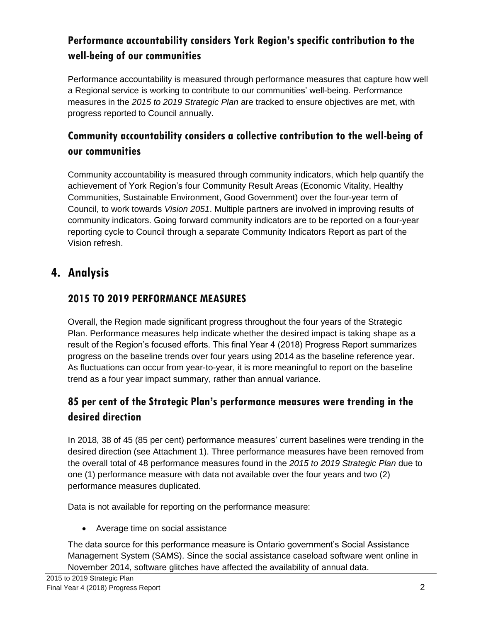### **Performance accountability considers York Region's specific contribution to the well-being of our communities**

Performance accountability is measured through performance measures that capture how well a Regional service is working to contribute to our communities' well-being. Performance measures in the *2015 to 2019 Strategic Plan* are tracked to ensure objectives are met, with progress reported to Council annually.

### **Community accountability considers a collective contribution to the well-being of our communities**

Community accountability is measured through community indicators, which help quantify the achievement of York Region's four Community Result Areas (Economic Vitality, Healthy Communities, Sustainable Environment, Good Government) over the four-year term of Council, to work towards *Vision 2051*. Multiple partners are involved in improving results of community indicators. Going forward community indicators are to be reported on a four-year reporting cycle to Council through a separate Community Indicators Report as part of the Vision refresh.

## **4. Analysis**

#### **2015 TO 2019 PERFORMANCE MEASURES**

Overall, the Region made significant progress throughout the four years of the Strategic Plan. Performance measures help indicate whether the desired impact is taking shape as a result of the Region's focused efforts. This final Year 4 (2018) Progress Report summarizes progress on the baseline trends over four years using 2014 as the baseline reference year. As fluctuations can occur from year-to-year, it is more meaningful to report on the baseline trend as a four year impact summary, rather than annual variance.

### **85 per cent of the Strategic Plan's performance measures were trending in the desired direction**

In 2018, 38 of 45 (85 per cent) performance measures' current baselines were trending in the desired direction (see Attachment 1). Three performance measures have been removed from the overall total of 48 performance measures found in the *2015 to 2019 Strategic Plan* due to one (1) performance measure with data not available over the four years and two (2) performance measures duplicated.

Data is not available for reporting on the performance measure:

Average time on social assistance

The data source for this performance measure is Ontario government's Social Assistance Management System (SAMS). Since the social assistance caseload software went online in November 2014, software glitches have affected the availability of annual data.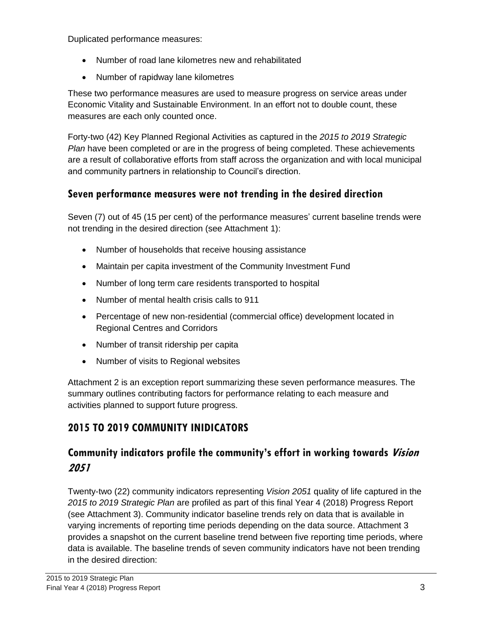Duplicated performance measures:

- Number of road lane kilometres new and rehabilitated
- Number of rapidway lane kilometres

These two performance measures are used to measure progress on service areas under Economic Vitality and Sustainable Environment. In an effort not to double count, these measures are each only counted once.

Forty-two (42) Key Planned Regional Activities as captured in the *2015 to 2019 Strategic Plan* have been completed or are in the progress of being completed. These achievements are a result of collaborative efforts from staff across the organization and with local municipal and community partners in relationship to Council's direction.

#### **Seven performance measures were not trending in the desired direction**

Seven (7) out of 45 (15 per cent) of the performance measures' current baseline trends were not trending in the desired direction (see Attachment 1):

- Number of households that receive housing assistance
- Maintain per capita investment of the Community Investment Fund
- Number of long term care residents transported to hospital
- Number of mental health crisis calls to 911
- Percentage of new non-residential (commercial office) development located in Regional Centres and Corridors
- Number of transit ridership per capita
- Number of visits to Regional websites

Attachment 2 is an exception report summarizing these seven performance measures. The summary outlines contributing factors for performance relating to each measure and activities planned to support future progress.

#### **2015 TO 2019 COMMUNITY INIDICATORS**

### **Community indicators profile the community's effort in working towards Vision 2051**

Twenty-two (22) community indicators representing *Vision 2051* quality of life captured in the *2015 to 2019 Strategic Plan* are profiled as part of this final Year 4 (2018) Progress Report (see Attachment 3). Community indicator baseline trends rely on data that is available in varying increments of reporting time periods depending on the data source. Attachment 3 provides a snapshot on the current baseline trend between five reporting time periods, where data is available. The baseline trends of seven community indicators have not been trending in the desired direction: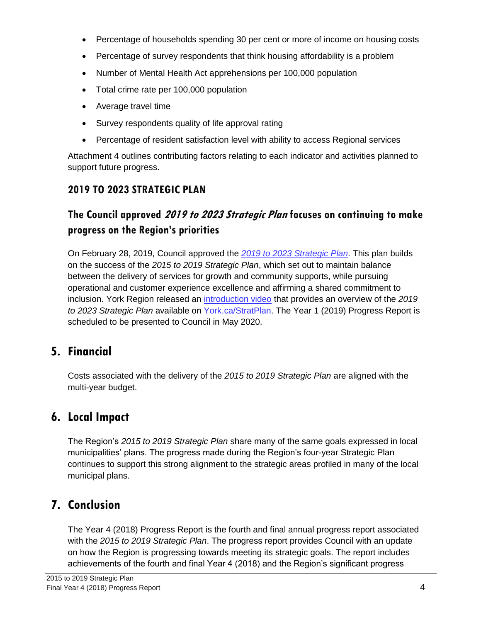- Percentage of households spending 30 per cent or more of income on housing costs
- Percentage of survey respondents that think housing affordability is a problem
- Number of Mental Health Act apprehensions per 100,000 population
- Total crime rate per 100,000 population
- Average travel time
- Survey respondents quality of life approval rating
- Percentage of resident satisfaction level with ability to access Regional services

Attachment 4 outlines contributing factors relating to each indicator and activities planned to support future progress.

## **2019 TO 2023 STRATEGIC PLAN**

## **The Council approved 2019 to 2023 Strategic Plan focuses on continuing to make progress on the Region's priorities**

On February 28, 2019, Council approved the *[2019 to 2023 Strategic Plan](https://www.york.ca/wps/wcm/connect/yorkpublic/e9612765-7323-40bf-904c-715cd0c21d6b/18453_CorporateStrategicPlan-Approved.pdf?MOD=AJPERES)*. This plan builds on the success of the *2015 to 2019 Strategic Plan*, which set out to maintain balance between the delivery of services for growth and community supports, while pursuing operational and customer experience excellence and affirming a shared commitment to inclusion. York Region released an [introduction video](https://youtu.be/ccH8_K3bsjo) that provides an overview of the *2019 to 2023 Strategic Plan* available on [York.ca/StratPlan.](http://www.york.ca/stratplan) The Year 1 (2019) Progress Report is scheduled to be presented to Council in May 2020.

# **5. Financial**

Costs associated with the delivery of the *2015 to 2019 Strategic Plan* are aligned with the multi-year budget.

# **6. Local Impact**

The Region's *2015 to 2019 Strategic Plan* share many of the same goals expressed in local municipalities' plans. The progress made during the Region's four-year Strategic Plan continues to support this strong alignment to the strategic areas profiled in many of the local municipal plans.

# **7. Conclusion**

The Year 4 (2018) Progress Report is the fourth and final annual progress report associated with the *2015 to 2019 Strategic Plan*. The progress report provides Council with an update on how the Region is progressing towards meeting its strategic goals. The report includes achievements of the fourth and final Year 4 (2018) and the Region's significant progress